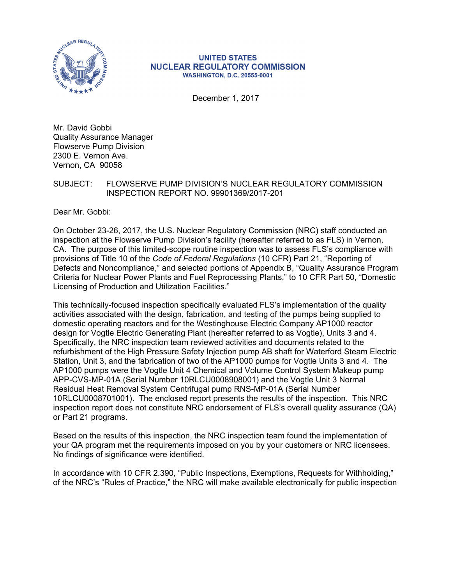

#### **UNITED STATES NUCLEAR REGULATORY COMMISSION WASHINGTON, D.C. 20555-0001**

December 1, 2017

Mr. David Gobbi Quality Assurance Manager Flowserve Pump Division 2300 E. Vernon Ave. Vernon, CA 90058

#### SUBJECT: FLOWSERVE PUMP DIVISION'S NUCLEAR REGULATORY COMMISSION INSPECTION REPORT NO. 99901369/2017-201

Dear Mr. Gobbi:

On October 23-26, 2017, the U.S. Nuclear Regulatory Commission (NRC) staff conducted an inspection at the Flowserve Pump Division's facility (hereafter referred to as FLS) in Vernon, CA. The purpose of this limited-scope routine inspection was to assess FLS's compliance with provisions of Title 10 of the *Code of Federal Regulations* (10 CFR) Part 21, "Reporting of Defects and Noncompliance," and selected portions of Appendix B, "Quality Assurance Program Criteria for Nuclear Power Plants and Fuel Reprocessing Plants," to 10 CFR Part 50, "Domestic Licensing of Production and Utilization Facilities."

This technically-focused inspection specifically evaluated FLS's implementation of the quality activities associated with the design, fabrication, and testing of the pumps being supplied to domestic operating reactors and for the Westinghouse Electric Company AP1000 reactor design for Vogtle Electric Generating Plant (hereafter referred to as Vogtle), Units 3 and 4. Specifically, the NRC inspection team reviewed activities and documents related to the refurbishment of the High Pressure Safety Injection pump AB shaft for Waterford Steam Electric Station, Unit 3, and the fabrication of two of the AP1000 pumps for Vogtle Units 3 and 4. The AP1000 pumps were the Vogtle Unit 4 Chemical and Volume Control System Makeup pump APP-CVS-MP-01A (Serial Number 10RLCU0008908001) and the Vogtle Unit 3 Normal Residual Heat Removal System Centrifugal pump RNS-MP-01A (Serial Number 10RLCU0008701001). The enclosed report presents the results of the inspection. This NRC inspection report does not constitute NRC endorsement of FLS's overall quality assurance (QA) or Part 21 programs.

Based on the results of this inspection, the NRC inspection team found the implementation of your QA program met the requirements imposed on you by your customers or NRC licensees. No findings of significance were identified.

In accordance with 10 CFR 2.390, "Public Inspections, Exemptions, Requests for Withholding," of the NRC's "Rules of Practice," the NRC will make available electronically for public inspection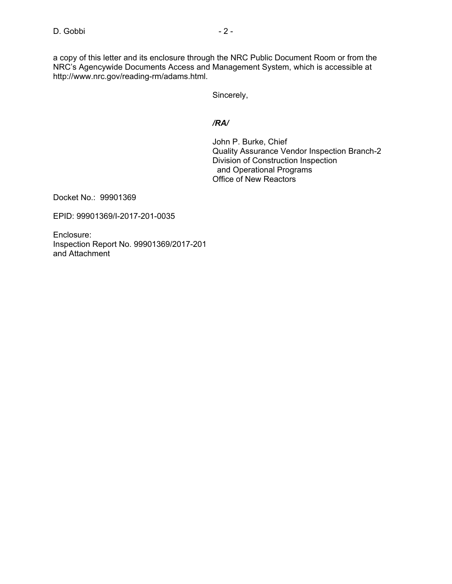a copy of this letter and its enclosure through the NRC Public Document Room or from the NRC's Agencywide Documents Access and Management System, which is accessible at http://www.nrc.gov/reading-rm/adams.html.

Sincerely,

#### */RA/*

John P. Burke, Chief Quality Assurance Vendor Inspection Branch-2 Division of Construction Inspection and Operational Programs Office of New Reactors

Docket No.: 99901369

EPID: 99901369/I-2017-201-0035

Enclosure: Inspection Report No. 99901369/2017-201 and Attachment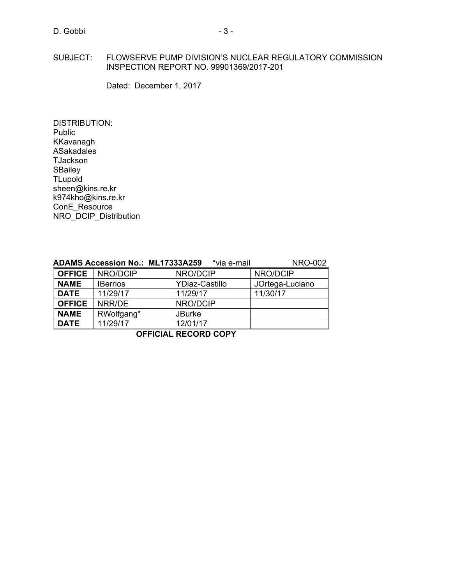#### SUBJECT: FLOWSERVE PUMP DIVISION'S NUCLEAR REGULATORY COMMISSION INSPECTION REPORT NO. 99901369/2017-201

Dated: December 1, 2017

DISTRIBUTION: **Public** KKavanagh ASakadales **TJackson SBailey TLupold** sheen@kins.re.kr k974kho@kins.re.kr ConE\_Resource NRO\_DCIP\_Distribution

|               | ADAMS Accession No.: ML17333A259 | *via e-mail           | <b>NRO-002</b>  |
|---------------|----------------------------------|-----------------------|-----------------|
| <b>OFFICE</b> | NRO/DCIP                         | NRO/DCIP              | NRO/DCIP        |
| <b>NAME</b>   | <b>IBerrios</b>                  | <b>YDiaz-Castillo</b> | JOrtega-Luciano |
| <b>DATE</b>   | 11/29/17                         | 11/29/17              | 11/30/17        |
| <b>OFFICE</b> | NRR/DE                           | NRO/DCIP              |                 |
| <b>NAME</b>   | RWolfgang*                       | <b>JBurke</b>         |                 |
| <b>DATE</b>   | 11/29/17                         | 12/01/17              |                 |

**OFFICIAL RECORD COPY**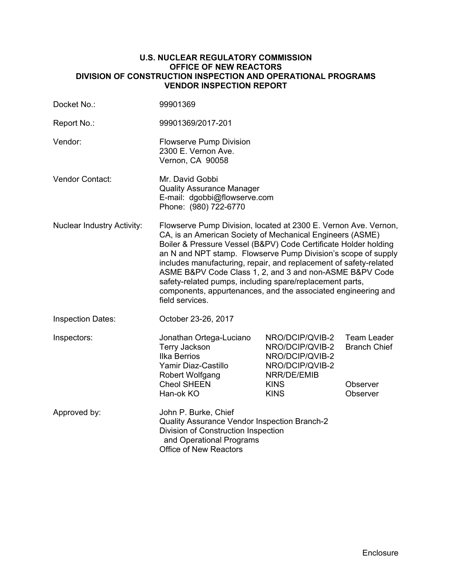#### **U.S. NUCLEAR REGULATORY COMMISSION OFFICE OF NEW REACTORS DIVISION OF CONSTRUCTION INSPECTION AND OPERATIONAL PROGRAMS VENDOR INSPECTION REPORT**

| Docket No.:                       | 99901369                                                                                                                                                                                                                                                                                                                                                                                                                                                                                                                                         |                                                                                                                       |                                                                   |  |  |
|-----------------------------------|--------------------------------------------------------------------------------------------------------------------------------------------------------------------------------------------------------------------------------------------------------------------------------------------------------------------------------------------------------------------------------------------------------------------------------------------------------------------------------------------------------------------------------------------------|-----------------------------------------------------------------------------------------------------------------------|-------------------------------------------------------------------|--|--|
| Report No.:                       | 99901369/2017-201                                                                                                                                                                                                                                                                                                                                                                                                                                                                                                                                |                                                                                                                       |                                                                   |  |  |
| Vendor:                           | <b>Flowserve Pump Division</b><br>2300 E. Vernon Ave.<br>Vernon, CA 90058                                                                                                                                                                                                                                                                                                                                                                                                                                                                        |                                                                                                                       |                                                                   |  |  |
| Vendor Contact:                   | Mr. David Gobbi<br><b>Quality Assurance Manager</b><br>E-mail: dgobbi@flowserve.com<br>Phone: (980) 722-6770                                                                                                                                                                                                                                                                                                                                                                                                                                     |                                                                                                                       |                                                                   |  |  |
| <b>Nuclear Industry Activity:</b> | Flowserve Pump Division, located at 2300 E. Vernon Ave. Vernon,<br>CA, is an American Society of Mechanical Engineers (ASME)<br>Boiler & Pressure Vessel (B&PV) Code Certificate Holder holding<br>an N and NPT stamp. Flowserve Pump Division's scope of supply<br>includes manufacturing, repair, and replacement of safety-related<br>ASME B&PV Code Class 1, 2, and 3 and non-ASME B&PV Code<br>safety-related pumps, including spare/replacement parts,<br>components, appurtenances, and the associated engineering and<br>field services. |                                                                                                                       |                                                                   |  |  |
| <b>Inspection Dates:</b>          | October 23-26, 2017                                                                                                                                                                                                                                                                                                                                                                                                                                                                                                                              |                                                                                                                       |                                                                   |  |  |
| Inspectors:                       | Jonathan Ortega-Luciano<br><b>Terry Jackson</b><br><b>Ilka Berrios</b><br>Yamir Diaz-Castillo<br>Robert Wolfgang<br><b>Cheol SHEEN</b><br>Han-ok KO                                                                                                                                                                                                                                                                                                                                                                                              | NRO/DCIP/QVIB-2<br>NRO/DCIP/QVIB-2<br>NRO/DCIP/QVIB-2<br>NRO/DCIP/QVIB-2<br>NRR/DE/EMIB<br><b>KINS</b><br><b>KINS</b> | <b>Team Leader</b><br><b>Branch Chief</b><br>Observer<br>Observer |  |  |
| Approved by:                      | John P. Burke, Chief<br>Quality Assurance Vendor Inspection Branch-2<br>Division of Construction Inspection<br>and Operational Programs<br><b>Office of New Reactors</b>                                                                                                                                                                                                                                                                                                                                                                         |                                                                                                                       |                                                                   |  |  |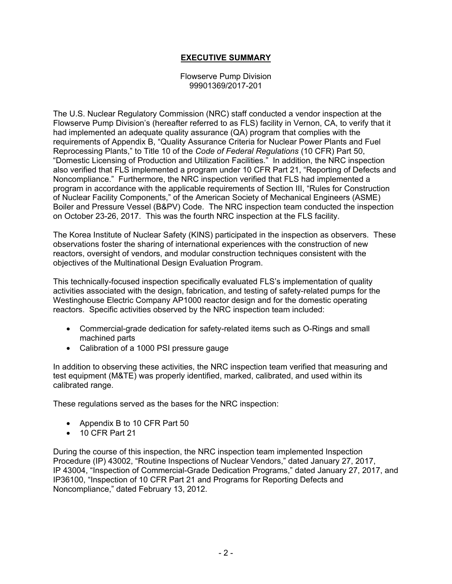# **EXECUTIVE SUMMARY**

Flowserve Pump Division 99901369/2017-201

The U.S. Nuclear Regulatory Commission (NRC) staff conducted a vendor inspection at the Flowserve Pump Division's (hereafter referred to as FLS) facility in Vernon, CA, to verify that it had implemented an adequate quality assurance (QA) program that complies with the requirements of Appendix B, "Quality Assurance Criteria for Nuclear Power Plants and Fuel Reprocessing Plants," to Title 10 of the *Code of Federal Regulations* (10 CFR) Part 50, "Domestic Licensing of Production and Utilization Facilities." In addition, the NRC inspection also verified that FLS implemented a program under 10 CFR Part 21, "Reporting of Defects and Noncompliance." Furthermore, the NRC inspection verified that FLS had implemented a program in accordance with the applicable requirements of Section III, "Rules for Construction of Nuclear Facility Components," of the American Society of Mechanical Engineers (ASME) Boiler and Pressure Vessel (B&PV) Code. The NRC inspection team conducted the inspection on October 23-26, 2017. This was the fourth NRC inspection at the FLS facility.

The Korea Institute of Nuclear Safety (KINS) participated in the inspection as observers. These observations foster the sharing of international experiences with the construction of new reactors, oversight of vendors, and modular construction techniques consistent with the objectives of the Multinational Design Evaluation Program.

This technically-focused inspection specifically evaluated FLS's implementation of quality activities associated with the design, fabrication, and testing of safety-related pumps for the Westinghouse Electric Company AP1000 reactor design and for the domestic operating reactors. Specific activities observed by the NRC inspection team included:

- Commercial-grade dedication for safety-related items such as O-Rings and small machined parts
- Calibration of a 1000 PSI pressure gauge

In addition to observing these activities, the NRC inspection team verified that measuring and test equipment (M&TE) was properly identified, marked, calibrated, and used within its calibrated range.

These regulations served as the bases for the NRC inspection:

- Appendix B to 10 CFR Part 50
- 10 CFR Part 21

During the course of this inspection, the NRC inspection team implemented Inspection Procedure (IP) 43002, "Routine Inspections of Nuclear Vendors," dated January 27, 2017, IP 43004, "Inspection of Commercial-Grade Dedication Programs," dated January 27, 2017, and IP36100, "Inspection of 10 CFR Part 21 and Programs for Reporting Defects and Noncompliance," dated February 13, 2012.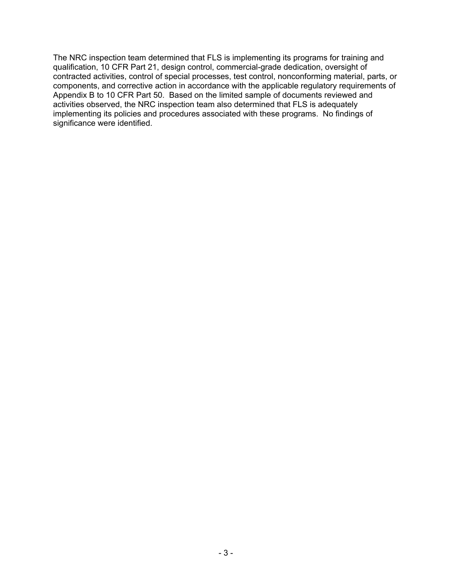The NRC inspection team determined that FLS is implementing its programs for training and qualification, 10 CFR Part 21, design control, commercial-grade dedication, oversight of contracted activities, control of special processes, test control, nonconforming material, parts, or components, and corrective action in accordance with the applicable regulatory requirements of Appendix B to 10 CFR Part 50. Based on the limited sample of documents reviewed and activities observed, the NRC inspection team also determined that FLS is adequately implementing its policies and procedures associated with these programs. No findings of significance were identified.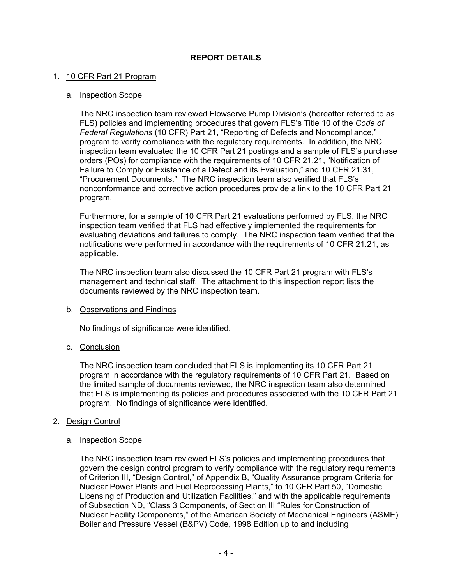# **REPORT DETAILS**

### 1. 10 CFR Part 21 Program

#### a. Inspection Scope

The NRC inspection team reviewed Flowserve Pump Division's (hereafter referred to as FLS) policies and implementing procedures that govern FLS's Title 10 of the *Code of Federal Regulations* (10 CFR) Part 21, "Reporting of Defects and Noncompliance," program to verify compliance with the regulatory requirements. In addition, the NRC inspection team evaluated the 10 CFR Part 21 postings and a sample of FLS's purchase orders (POs) for compliance with the requirements of 10 CFR 21.21, "Notification of Failure to Comply or Existence of a Defect and its Evaluation," and 10 CFR 21.31, "Procurement Documents." The NRC inspection team also verified that FLS's nonconformance and corrective action procedures provide a link to the 10 CFR Part 21 program.

Furthermore, for a sample of 10 CFR Part 21 evaluations performed by FLS, the NRC inspection team verified that FLS had effectively implemented the requirements for evaluating deviations and failures to comply. The NRC inspection team verified that the notifications were performed in accordance with the requirements of 10 CFR 21.21, as applicable.

The NRC inspection team also discussed the 10 CFR Part 21 program with FLS's management and technical staff. The attachment to this inspection report lists the documents reviewed by the NRC inspection team.

#### b. Observations and Findings

No findings of significance were identified.

# c. Conclusion

The NRC inspection team concluded that FLS is implementing its 10 CFR Part 21 program in accordance with the regulatory requirements of 10 CFR Part 21. Based on the limited sample of documents reviewed, the NRC inspection team also determined that FLS is implementing its policies and procedures associated with the 10 CFR Part 21 program. No findings of significance were identified.

# 2. Design Control

#### a. Inspection Scope

The NRC inspection team reviewed FLS's policies and implementing procedures that govern the design control program to verify compliance with the regulatory requirements of Criterion III, "Design Control," of Appendix B, "Quality Assurance program Criteria for Nuclear Power Plants and Fuel Reprocessing Plants," to 10 CFR Part 50, "Domestic Licensing of Production and Utilization Facilities," and with the applicable requirements of Subsection ND, "Class 3 Components, of Section III "Rules for Construction of Nuclear Facility Components," of the American Society of Mechanical Engineers (ASME) Boiler and Pressure Vessel (B&PV) Code, 1998 Edition up to and including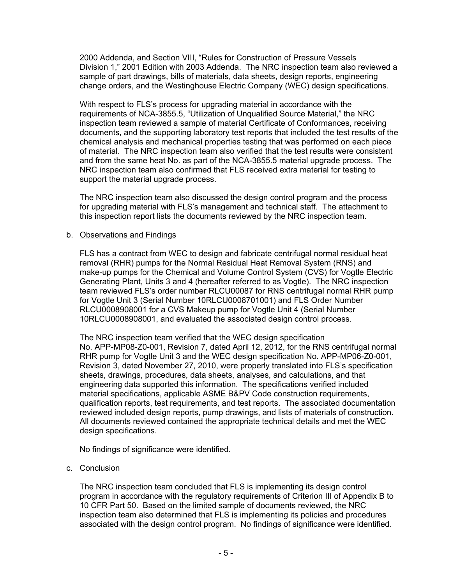2000 Addenda, and Section VIII, "Rules for Construction of Pressure Vessels Division 1," 2001 Edition with 2003 Addenda. The NRC inspection team also reviewed a sample of part drawings, bills of materials, data sheets, design reports, engineering change orders, and the Westinghouse Electric Company (WEC) design specifications.

With respect to FLS's process for upgrading material in accordance with the requirements of NCA-3855.5, "Utilization of Unqualified Source Material," the NRC inspection team reviewed a sample of material Certificate of Conformances, receiving documents, and the supporting laboratory test reports that included the test results of the chemical analysis and mechanical properties testing that was performed on each piece of material. The NRC inspection team also verified that the test results were consistent and from the same heat No. as part of the NCA-3855.5 material upgrade process. The NRC inspection team also confirmed that FLS received extra material for testing to support the material upgrade process.

The NRC inspection team also discussed the design control program and the process for upgrading material with FLS's management and technical staff. The attachment to this inspection report lists the documents reviewed by the NRC inspection team.

# b. Observations and Findings

FLS has a contract from WEC to design and fabricate centrifugal normal residual heat removal (RHR) pumps for the Normal Residual Heat Removal System (RNS) and make-up pumps for the Chemical and Volume Control System (CVS) for Vogtle Electric Generating Plant, Units 3 and 4 (hereafter referred to as Vogtle). The NRC inspection team reviewed FLS's order number RLCU00087 for RNS centrifugal normal RHR pump for Vogtle Unit 3 (Serial Number 10RLCU0008701001) and FLS Order Number RLCU0008908001 for a CVS Makeup pump for Vogtle Unit 4 (Serial Number 10RLCU0008908001, and evaluated the associated design control process.

The NRC inspection team verified that the WEC design specification No. APP-MP08-Z0-001, Revision 7, dated April 12, 2012, for the RNS centrifugal normal RHR pump for Vogtle Unit 3 and the WEC design specification No. APP-MP06-Z0-001, Revision 3, dated November 27, 2010, were properly translated into FLS's specification sheets, drawings, procedures, data sheets, analyses, and calculations, and that engineering data supported this information. The specifications verified included material specifications, applicable ASME B&PV Code construction requirements, qualification reports, test requirements, and test reports. The associated documentation reviewed included design reports, pump drawings, and lists of materials of construction. All documents reviewed contained the appropriate technical details and met the WEC design specifications.

No findings of significance were identified.

# c. Conclusion

The NRC inspection team concluded that FLS is implementing its design control program in accordance with the regulatory requirements of Criterion III of Appendix B to 10 CFR Part 50. Based on the limited sample of documents reviewed, the NRC inspection team also determined that FLS is implementing its policies and procedures associated with the design control program. No findings of significance were identified.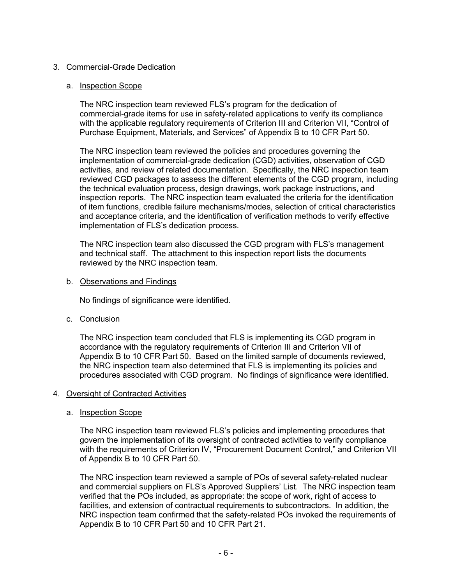# 3. Commercial-Grade Dedication

#### a. Inspection Scope

The NRC inspection team reviewed FLS's program for the dedication of commercial-grade items for use in safety-related applications to verify its compliance with the applicable regulatory requirements of Criterion III and Criterion VII, "Control of Purchase Equipment, Materials, and Services" of Appendix B to 10 CFR Part 50.

The NRC inspection team reviewed the policies and procedures governing the implementation of commercial-grade dedication (CGD) activities, observation of CGD activities, and review of related documentation. Specifically, the NRC inspection team reviewed CGD packages to assess the different elements of the CGD program, including the technical evaluation process, design drawings, work package instructions, and inspection reports. The NRC inspection team evaluated the criteria for the identification of item functions, credible failure mechanisms/modes, selection of critical characteristics and acceptance criteria, and the identification of verification methods to verify effective implementation of FLS's dedication process.

The NRC inspection team also discussed the CGD program with FLS's management and technical staff. The attachment to this inspection report lists the documents reviewed by the NRC inspection team.

#### b. Observations and Findings

No findings of significance were identified.

c. Conclusion

The NRC inspection team concluded that FLS is implementing its CGD program in accordance with the regulatory requirements of Criterion III and Criterion VII of Appendix B to 10 CFR Part 50. Based on the limited sample of documents reviewed, the NRC inspection team also determined that FLS is implementing its policies and procedures associated with CGD program. No findings of significance were identified.

# 4. Oversight of Contracted Activities

# a. Inspection Scope

The NRC inspection team reviewed FLS's policies and implementing procedures that govern the implementation of its oversight of contracted activities to verify compliance with the requirements of Criterion IV, "Procurement Document Control," and Criterion VII of Appendix B to 10 CFR Part 50.

The NRC inspection team reviewed a sample of POs of several safety-related nuclear and commercial suppliers on FLS's Approved Suppliers' List. The NRC inspection team verified that the POs included, as appropriate: the scope of work, right of access to facilities, and extension of contractual requirements to subcontractors. In addition, the NRC inspection team confirmed that the safety-related POs invoked the requirements of Appendix B to 10 CFR Part 50 and 10 CFR Part 21.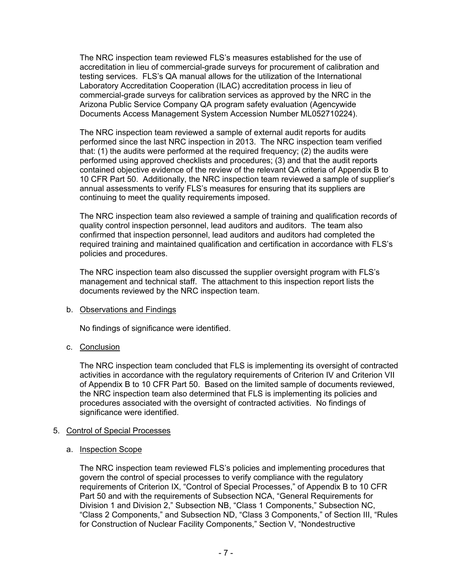The NRC inspection team reviewed FLS's measures established for the use of accreditation in lieu of commercial-grade surveys for procurement of calibration and testing services. FLS's QA manual allows for the utilization of the International Laboratory Accreditation Cooperation (ILAC) accreditation process in lieu of commercial-grade surveys for calibration services as approved by the NRC in the Arizona Public Service Company QA program safety evaluation (Agencywide Documents Access Management System Accession Number ML052710224).

The NRC inspection team reviewed a sample of external audit reports for audits performed since the last NRC inspection in 2013. The NRC inspection team verified that: (1) the audits were performed at the required frequency; (2) the audits were performed using approved checklists and procedures; (3) and that the audit reports contained objective evidence of the review of the relevant QA criteria of Appendix B to 10 CFR Part 50. Additionally, the NRC inspection team reviewed a sample of supplier's annual assessments to verify FLS's measures for ensuring that its suppliers are continuing to meet the quality requirements imposed.

The NRC inspection team also reviewed a sample of training and qualification records of quality control inspection personnel, lead auditors and auditors. The team also confirmed that inspection personnel, lead auditors and auditors had completed the required training and maintained qualification and certification in accordance with FLS's policies and procedures.

The NRC inspection team also discussed the supplier oversight program with FLS's management and technical staff. The attachment to this inspection report lists the documents reviewed by the NRC inspection team.

# b. Observations and Findings

No findings of significance were identified.

# c. Conclusion

The NRC inspection team concluded that FLS is implementing its oversight of contracted activities in accordance with the regulatory requirements of Criterion IV and Criterion VII of Appendix B to 10 CFR Part 50. Based on the limited sample of documents reviewed, the NRC inspection team also determined that FLS is implementing its policies and procedures associated with the oversight of contracted activities. No findings of significance were identified.

# 5. Control of Special Processes

# a. Inspection Scope

The NRC inspection team reviewed FLS's policies and implementing procedures that govern the control of special processes to verify compliance with the regulatory requirements of Criterion IX, "Control of Special Processes," of Appendix B to 10 CFR Part 50 and with the requirements of Subsection NCA, "General Requirements for Division 1 and Division 2," Subsection NB, "Class 1 Components," Subsection NC, "Class 2 Components," and Subsection ND, "Class 3 Components," of Section III, "Rules for Construction of Nuclear Facility Components," Section V, "Nondestructive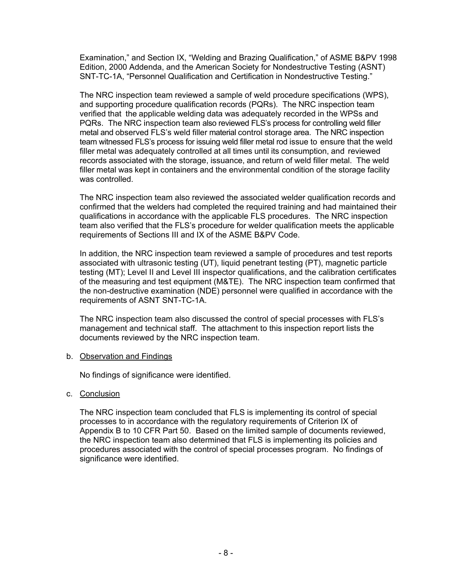Examination," and Section IX, "Welding and Brazing Qualification," of ASME B&PV 1998 Edition, 2000 Addenda, and the American Society for Nondestructive Testing (ASNT) SNT-TC-1A, "Personnel Qualification and Certification in Nondestructive Testing."

The NRC inspection team reviewed a sample of weld procedure specifications (WPS), and supporting procedure qualification records (PQRs). The NRC inspection team verified that the applicable welding data was adequately recorded in the WPSs and PQRs. The NRC inspection team also reviewed FLS's process for controlling weld filler metal and observed FLS's weld filler material control storage area. The NRC inspection team witnessed FLS's process for issuing weld filler metal rod issue to ensure that the weld filler metal was adequately controlled at all times until its consumption, and reviewed records associated with the storage, issuance, and return of weld filler metal. The weld filler metal was kept in containers and the environmental condition of the storage facility was controlled.

The NRC inspection team also reviewed the associated welder qualification records and confirmed that the welders had completed the required training and had maintained their qualifications in accordance with the applicable FLS procedures. The NRC inspection team also verified that the FLS's procedure for welder qualification meets the applicable requirements of Sections III and IX of the ASME B&PV Code.

In addition, the NRC inspection team reviewed a sample of procedures and test reports associated with ultrasonic testing (UT), liquid penetrant testing (PT), magnetic particle testing (MT); Level II and Level III inspector qualifications, and the calibration certificates of the measuring and test equipment (M&TE). The NRC inspection team confirmed that the non-destructive examination (NDE) personnel were qualified in accordance with the requirements of ASNT SNT-TC-1A.

The NRC inspection team also discussed the control of special processes with FLS's management and technical staff. The attachment to this inspection report lists the documents reviewed by the NRC inspection team.

# b. Observation and Findings

No findings of significance were identified.

# c. Conclusion

The NRC inspection team concluded that FLS is implementing its control of special processes to in accordance with the regulatory requirements of Criterion IX of Appendix B to 10 CFR Part 50. Based on the limited sample of documents reviewed, the NRC inspection team also determined that FLS is implementing its policies and procedures associated with the control of special processes program. No findings of significance were identified.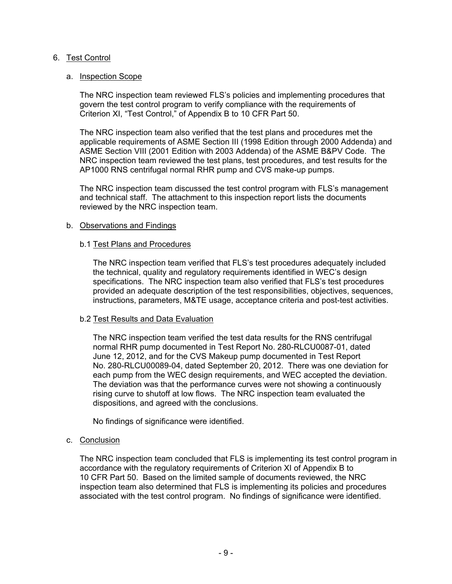# 6. Test Control

### a. Inspection Scope

The NRC inspection team reviewed FLS's policies and implementing procedures that govern the test control program to verify compliance with the requirements of Criterion XI, "Test Control," of Appendix B to 10 CFR Part 50.

The NRC inspection team also verified that the test plans and procedures met the applicable requirements of ASME Section III (1998 Edition through 2000 Addenda) and ASME Section VIII (2001 Edition with 2003 Addenda) of the ASME B&PV Code. The NRC inspection team reviewed the test plans, test procedures, and test results for the AP1000 RNS centrifugal normal RHR pump and CVS make-up pumps.

The NRC inspection team discussed the test control program with FLS's management and technical staff. The attachment to this inspection report lists the documents reviewed by the NRC inspection team.

#### b. Observations and Findings

#### b.1 Test Plans and Procedures

The NRC inspection team verified that FLS's test procedures adequately included the technical, quality and regulatory requirements identified in WEC's design specifications. The NRC inspection team also verified that FLS's test procedures provided an adequate description of the test responsibilities, objectives, sequences, instructions, parameters, M&TE usage, acceptance criteria and post-test activities.

# b.2 Test Results and Data Evaluation

The NRC inspection team verified the test data results for the RNS centrifugal normal RHR pump documented in Test Report No. 280-RLCU0087-01, dated June 12, 2012, and for the CVS Makeup pump documented in Test Report No. 280-RLCU00089-04, dated September 20, 2012. There was one deviation for each pump from the WEC design requirements, and WEC accepted the deviation. The deviation was that the performance curves were not showing a continuously rising curve to shutoff at low flows. The NRC inspection team evaluated the dispositions, and agreed with the conclusions.

No findings of significance were identified.

# c. Conclusion

The NRC inspection team concluded that FLS is implementing its test control program in accordance with the regulatory requirements of Criterion XI of Appendix B to 10 CFR Part 50. Based on the limited sample of documents reviewed, the NRC inspection team also determined that FLS is implementing its policies and procedures associated with the test control program. No findings of significance were identified.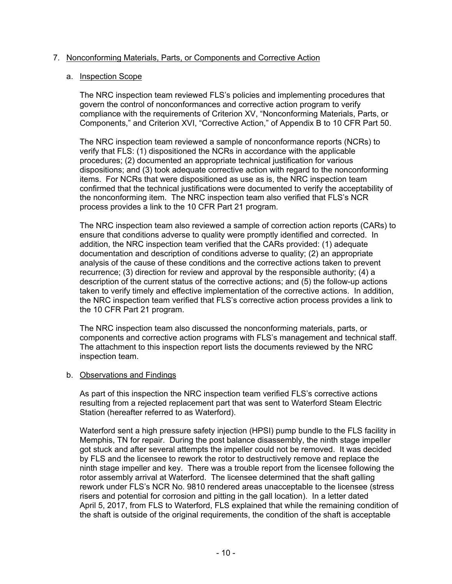# 7. Nonconforming Materials, Parts, or Components and Corrective Action

# a. Inspection Scope

The NRC inspection team reviewed FLS's policies and implementing procedures that govern the control of nonconformances and corrective action program to verify compliance with the requirements of Criterion XV, "Nonconforming Materials, Parts, or Components," and Criterion XVI, "Corrective Action," of Appendix B to 10 CFR Part 50.

The NRC inspection team reviewed a sample of nonconformance reports (NCRs) to verify that FLS: (1) dispositioned the NCRs in accordance with the applicable procedures; (2) documented an appropriate technical justification for various dispositions; and (3) took adequate corrective action with regard to the nonconforming items. For NCRs that were dispositioned as use as is, the NRC inspection team confirmed that the technical justifications were documented to verify the acceptability of the nonconforming item. The NRC inspection team also verified that FLS's NCR process provides a link to the 10 CFR Part 21 program.

The NRC inspection team also reviewed a sample of correction action reports (CARs) to ensure that conditions adverse to quality were promptly identified and corrected. In addition, the NRC inspection team verified that the CARs provided: (1) adequate documentation and description of conditions adverse to quality; (2) an appropriate analysis of the cause of these conditions and the corrective actions taken to prevent recurrence; (3) direction for review and approval by the responsible authority; (4) a description of the current status of the corrective actions; and (5) the follow-up actions taken to verify timely and effective implementation of the corrective actions. In addition, the NRC inspection team verified that FLS's corrective action process provides a link to the 10 CFR Part 21 program.

The NRC inspection team also discussed the nonconforming materials, parts, or components and corrective action programs with FLS's management and technical staff. The attachment to this inspection report lists the documents reviewed by the NRC inspection team.

# b. Observations and Findings

As part of this inspection the NRC inspection team verified FLS's corrective actions resulting from a rejected replacement part that was sent to Waterford Steam Electric Station (hereafter referred to as Waterford).

Waterford sent a high pressure safety injection (HPSI) pump bundle to the FLS facility in Memphis, TN for repair. During the post balance disassembly, the ninth stage impeller got stuck and after several attempts the impeller could not be removed. It was decided by FLS and the licensee to rework the rotor to destructively remove and replace the ninth stage impeller and key. There was a trouble report from the licensee following the rotor assembly arrival at Waterford. The licensee determined that the shaft galling rework under FLS's NCR No. 9810 rendered areas unacceptable to the licensee (stress risers and potential for corrosion and pitting in the gall location). In a letter dated April 5, 2017, from FLS to Waterford, FLS explained that while the remaining condition of the shaft is outside of the original requirements, the condition of the shaft is acceptable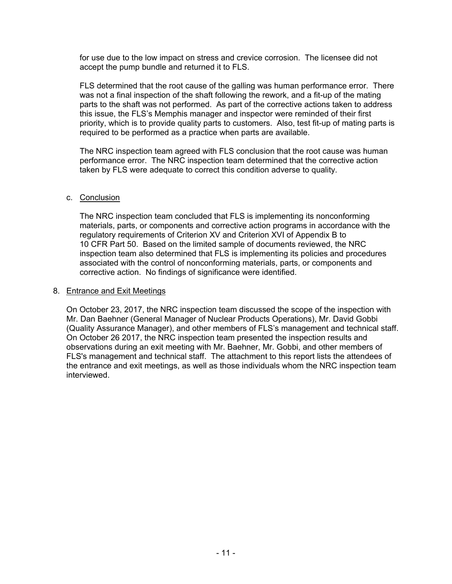for use due to the low impact on stress and crevice corrosion. The licensee did not accept the pump bundle and returned it to FLS.

FLS determined that the root cause of the galling was human performance error. There was not a final inspection of the shaft following the rework, and a fit-up of the mating parts to the shaft was not performed. As part of the corrective actions taken to address this issue, the FLS's Memphis manager and inspector were reminded of their first priority, which is to provide quality parts to customers. Also, test fit-up of mating parts is required to be performed as a practice when parts are available.

The NRC inspection team agreed with FLS conclusion that the root cause was human performance error. The NRC inspection team determined that the corrective action taken by FLS were adequate to correct this condition adverse to quality.

#### c. Conclusion

The NRC inspection team concluded that FLS is implementing its nonconforming materials, parts, or components and corrective action programs in accordance with the regulatory requirements of Criterion XV and Criterion XVI of Appendix B to 10 CFR Part 50. Based on the limited sample of documents reviewed, the NRC inspection team also determined that FLS is implementing its policies and procedures associated with the control of nonconforming materials, parts, or components and corrective action. No findings of significance were identified.

#### 8. Entrance and Exit Meetings

On October 23, 2017, the NRC inspection team discussed the scope of the inspection with Mr. Dan Baehner (General Manager of Nuclear Products Operations), Mr. David Gobbi (Quality Assurance Manager), and other members of FLS's management and technical staff. On October 26 2017, the NRC inspection team presented the inspection results and observations during an exit meeting with Mr. Baehner, Mr. Gobbi, and other members of FLS's management and technical staff. The attachment to this report lists the attendees of the entrance and exit meetings, as well as those individuals whom the NRC inspection team interviewed.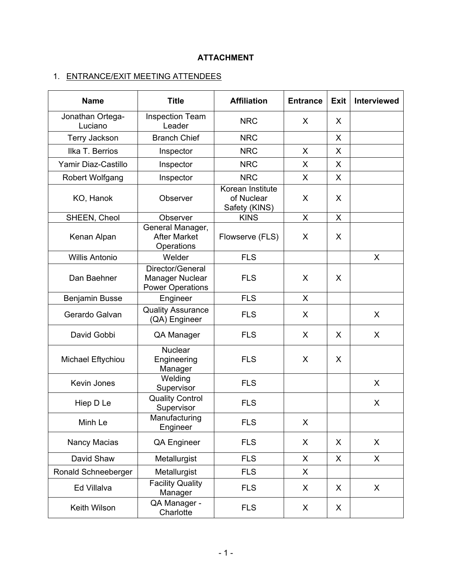# **ATTACHMENT**

# 1. ENTRANCE/EXIT MEETING ATTENDEES

| <b>Name</b>                 | <b>Title</b>                                                   | <b>Affiliation</b>                              | <b>Entrance</b> | <b>Exit</b> | <b>Interviewed</b> |
|-----------------------------|----------------------------------------------------------------|-------------------------------------------------|-----------------|-------------|--------------------|
| Jonathan Ortega-<br>Luciano | <b>Inspection Team</b><br>Leader                               | <b>NRC</b>                                      | X               | X           |                    |
| Terry Jackson               | <b>Branch Chief</b>                                            | <b>NRC</b>                                      |                 | X           |                    |
| Ilka T. Berrios             | Inspector                                                      | <b>NRC</b>                                      | X               | X           |                    |
| Yamir Diaz-Castillo         | Inspector                                                      | <b>NRC</b>                                      | X               | X           |                    |
| <b>Robert Wolfgang</b>      | Inspector                                                      | <b>NRC</b>                                      | X               | X           |                    |
| KO, Hanok                   | Observer                                                       | Korean Institute<br>of Nuclear<br>Safety (KINS) | X               | X           |                    |
| SHEEN, Cheol                | Observer                                                       | <b>KINS</b>                                     | X               | X           |                    |
| Kenan Alpan                 | General Manager,<br><b>After Market</b><br>Operations          | Flowserve (FLS)                                 | X               | X           |                    |
| <b>Willis Antonio</b>       | Welder                                                         | <b>FLS</b>                                      |                 |             | X                  |
| Dan Baehner                 | Director/General<br>Manager Nuclear<br><b>Power Operations</b> | <b>FLS</b>                                      | X               | X           |                    |
| Benjamin Busse              | Engineer                                                       | <b>FLS</b>                                      | X               |             |                    |
| Gerardo Galvan              | <b>Quality Assurance</b><br>(QA) Engineer                      | <b>FLS</b>                                      | X               |             | X                  |
| David Gobbi                 | QA Manager                                                     | <b>FLS</b>                                      | X               | X           | X                  |
| Michael Eftychiou           | <b>Nuclear</b><br>Engineering<br>Manager                       | <b>FLS</b>                                      | X               | X           |                    |
| Kevin Jones                 | Welding<br>Supervisor                                          | <b>FLS</b>                                      |                 |             | X                  |
| Hiep D Le                   | <b>Quality Control</b><br>Supervisor                           | <b>FLS</b>                                      |                 |             | X                  |
| Minh Le                     | Manufacturing<br>Engineer                                      | <b>FLS</b>                                      | X               |             |                    |
| Nancy Macias                | QA Engineer                                                    | <b>FLS</b>                                      | X               | X           | X                  |
| David Shaw                  | Metallurgist                                                   | <b>FLS</b>                                      | X               | X           | $\mathsf{X}$       |
| Ronald Schneeberger         | Metallurgist                                                   | <b>FLS</b>                                      | X               |             |                    |
| Ed Villalva                 | <b>Facility Quality</b><br>Manager                             | <b>FLS</b>                                      | X               | X           | X.                 |
| Keith Wilson                | QA Manager -<br>Charlotte                                      | <b>FLS</b>                                      | X               | X           |                    |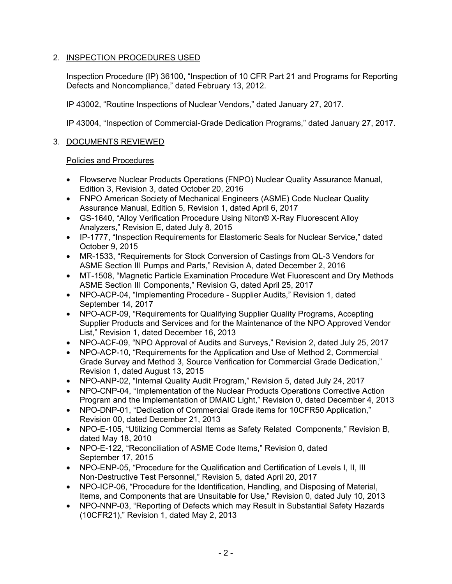# 2. INSPECTION PROCEDURES USED

Inspection Procedure (IP) 36100, "Inspection of 10 CFR Part 21 and Programs for Reporting Defects and Noncompliance," dated February 13, 2012.

IP 43002, "Routine Inspections of Nuclear Vendors," dated January 27, 2017.

IP 43004, "Inspection of Commercial-Grade Dedication Programs," dated January 27, 2017.

# 3. DOCUMENTS REVIEWED

# Policies and Procedures

- Flowserve Nuclear Products Operations (FNPO) Nuclear Quality Assurance Manual, Edition 3, Revision 3, dated October 20, 2016
- FNPO American Society of Mechanical Engineers (ASME) Code Nuclear Quality Assurance Manual, Edition 5, Revision 1, dated April 6, 2017
- GS-1640, "Alloy Verification Procedure Using Niton® X-Ray Fluorescent Alloy Analyzers," Revision E, dated July 8, 2015
- IP-1777, "Inspection Requirements for Elastomeric Seals for Nuclear Service," dated October 9, 2015
- MR-1533, "Requirements for Stock Conversion of Castings from QL-3 Vendors for ASME Section III Pumps and Parts," Revision A, dated December 2, 2016
- MT-1508, "Magnetic Particle Examination Procedure Wet Fluorescent and Dry Methods ASME Section III Components," Revision G, dated April 25, 2017
- NPO-ACP-04, "Implementing Procedure Supplier Audits," Revision 1, dated September 14, 2017
- NPO-ACP-09, "Requirements for Qualifying Supplier Quality Programs, Accepting Supplier Products and Services and for the Maintenance of the NPO Approved Vendor List," Revision 1, dated December 16, 2013
- NPO-ACF-09, "NPO Approval of Audits and Surveys," Revision 2, dated July 25, 2017
- NPO-ACP-10, "Requirements for the Application and Use of Method 2, Commercial Grade Survey and Method 3, Source Verification for Commercial Grade Dedication," Revision 1, dated August 13, 2015
- NPO-ANP-02, "Internal Quality Audit Program," Revision 5, dated July 24, 2017
- NPO-CNP-04, "Implementation of the Nuclear Products Operations Corrective Action Program and the Implementation of DMAIC Light," Revision 0, dated December 4, 2013
- NPO-DNP-01, "Dedication of Commercial Grade items for 10CFR50 Application," Revision 00, dated December 21, 2013
- NPO-E-105, "Utilizing Commercial Items as Safety Related Components," Revision B, dated May 18, 2010
- NPO-E-122, "Reconciliation of ASME Code Items," Revision 0, dated September 17, 2015
- NPO-ENP-05, "Procedure for the Qualification and Certification of Levels I, II, III Non-Destructive Test Personnel," Revision 5, dated April 20, 2017
- NPO-ICP-06, "Procedure for the Identification, Handling, and Disposing of Material, Items, and Components that are Unsuitable for Use," Revision 0, dated July 10, 2013
- NPO-NNP-03, "Reporting of Defects which may Result in Substantial Safety Hazards (10CFR21)," Revision 1, dated May 2, 2013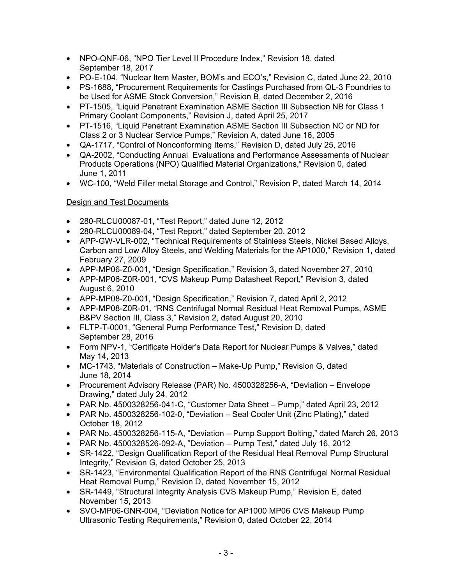- NPO-QNF-06, "NPO Tier Level II Procedure Index," Revision 18, dated September 18, 2017
- PO-E-104, "Nuclear Item Master, BOM's and ECO's," Revision C, dated June 22, 2010
- PS-1688, "Procurement Requirements for Castings Purchased from QL-3 Foundries to be Used for ASME Stock Conversion," Revision B, dated December 2, 2016
- PT-1505, "Liquid Penetrant Examination ASME Section III Subsection NB for Class 1 Primary Coolant Components," Revision J, dated April 25, 2017
- PT-1516, "Liquid Penetrant Examination ASME Section III Subsection NC or ND for Class 2 or 3 Nuclear Service Pumps," Revision A, dated June 16, 2005
- QA-1717, "Control of Nonconforming Items," Revision D, dated July 25, 2016
- QA-2002, "Conducting Annual Evaluations and Performance Assessments of Nuclear Products Operations (NPO) Qualified Material Organizations," Revision 0, dated June 1, 2011
- WC-100, "Weld Filler metal Storage and Control," Revision P, dated March 14, 2014

# Design and Test Documents

- 280-RLCU00087-01, "Test Report," dated June 12, 2012
- 280-RLCU00089-04, "Test Report," dated September 20, 2012
- APP-GW-VLR-002, "Technical Requirements of Stainless Steels, Nickel Based Alloys, Carbon and Low Alloy Steels, and Welding Materials for the AP1000," Revision 1, dated February 27, 2009
- APP-MP06-Z0-001, "Design Specification," Revision 3, dated November 27, 2010
- APP-MP06-Z0R-001, "CVS Makeup Pump Datasheet Report," Revision 3, dated August 6, 2010
- APP-MP08-Z0-001, "Design Specification," Revision 7, dated April 2, 2012
- APP-MP08-Z0R-01, "RNS Centrifugal Normal Residual Heat Removal Pumps, ASME B&PV Section III, Class 3," Revision 2, dated August 20, 2010
- FLTP-T-0001, "General Pump Performance Test," Revision D, dated September 28, 2016
- Form NPV-1, "Certificate Holder's Data Report for Nuclear Pumps & Valves," dated May 14, 2013
- MC-1743, "Materials of Construction Make-Up Pump," Revision G, dated June 18, 2014
- Procurement Advisory Release (PAR) No. 4500328256-A, "Deviation Envelope Drawing," dated July 24, 2012
- PAR No. 4500328256-041-C, "Customer Data Sheet Pump," dated April 23, 2012
- PAR No. 4500328256-102-0, "Deviation Seal Cooler Unit (Zinc Plating)," dated October 18, 2012
- PAR No. 4500328256-115-A, "Deviation Pump Support Bolting," dated March 26, 2013
- PAR No. 4500328526-092-A, "Deviation Pump Test," dated July 16, 2012
- SR-1422, "Design Qualification Report of the Residual Heat Removal Pump Structural Integrity," Revision G, dated October 25, 2013
- SR-1423, "Environmental Qualification Report of the RNS Centrifugal Normal Residual Heat Removal Pump," Revision D, dated November 15, 2012
- SR-1449, "Structural Integrity Analysis CVS Makeup Pump," Revision E, dated November 15, 2013
- SVO-MP06-GNR-004, "Deviation Notice for AP1000 MP06 CVS Makeup Pump Ultrasonic Testing Requirements," Revision 0, dated October 22, 2014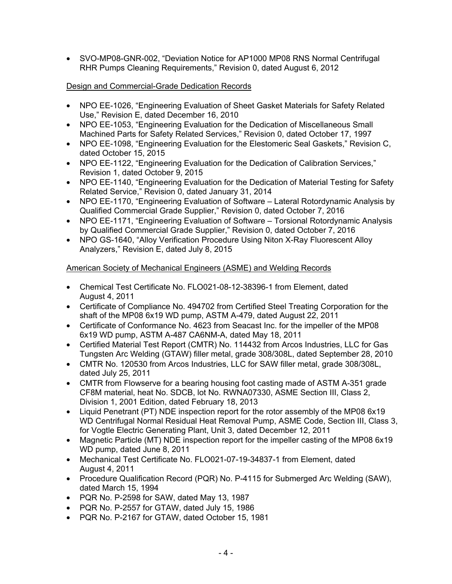• SVO-MP08-GNR-002, "Deviation Notice for AP1000 MP08 RNS Normal Centrifugal RHR Pumps Cleaning Requirements," Revision 0, dated August 6, 2012

# Design and Commercial-Grade Dedication Records

- NPO EE-1026, "Engineering Evaluation of Sheet Gasket Materials for Safety Related Use," Revision E, dated December 16, 2010
- NPO EE-1053, "Engineering Evaluation for the Dedication of Miscellaneous Small Machined Parts for Safety Related Services," Revision 0, dated October 17, 1997
- NPO EE-1098, "Engineering Evaluation for the Elestomeric Seal Gaskets," Revision C, dated October 15, 2015
- NPO EE-1122, "Engineering Evaluation for the Dedication of Calibration Services," Revision 1, dated October 9, 2015
- NPO EE-1140, "Engineering Evaluation for the Dedication of Material Testing for Safety Related Service," Revision 0, dated January 31, 2014
- NPO EE-1170, "Engineering Evaluation of Software Lateral Rotordynamic Analysis by Qualified Commercial Grade Supplier," Revision 0, dated October 7, 2016
- NPO EE-1171, "Engineering Evaluation of Software Torsional Rotordynamic Analysis by Qualified Commercial Grade Supplier," Revision 0, dated October 7, 2016
- NPO GS-1640, "Alloy Verification Procedure Using Niton X-Ray Fluorescent Alloy Analyzers," Revision E, dated July 8, 2015

# American Society of Mechanical Engineers (ASME) and Welding Records

- Chemical Test Certificate No. FLO021-08-12-38396-1 from Element, dated August 4, 2011
- Certificate of Compliance No. 494702 from Certified Steel Treating Corporation for the shaft of the MP08 6x19 WD pump, ASTM A-479, dated August 22, 2011
- Certificate of Conformance No. 4623 from Seacast Inc. for the impeller of the MP08 6x19 WD pump, ASTM A-487 CA6NM-A, dated May 18, 2011
- Certified Material Test Report (CMTR) No. 114432 from Arcos Industries, LLC for Gas Tungsten Arc Welding (GTAW) filler metal, grade 308/308L, dated September 28, 2010
- CMTR No. 120530 from Arcos Industries, LLC for SAW filler metal, grade 308/308L, dated July 25, 2011
- CMTR from Flowserve for a bearing housing foot casting made of ASTM A-351 grade CF8M material, heat No. SDCB, lot No. RWNA07330, ASME Section III, Class 2, Division 1, 2001 Edition, dated February 18, 2013
- Liquid Penetrant (PT) NDE inspection report for the rotor assembly of the MP08 6x19 WD Centrifugal Normal Residual Heat Removal Pump, ASME Code, Section III, Class 3, for Vogtle Electric Generating Plant, Unit 3, dated December 12, 2011
- Magnetic Particle (MT) NDE inspection report for the impeller casting of the MP08 6x19 WD pump, dated June 8, 2011
- Mechanical Test Certificate No. FLO021-07-19-34837-1 from Element, dated August 4, 2011
- Procedure Qualification Record (PQR) No. P-4115 for Submerged Arc Welding (SAW), dated March 15, 1994
- PQR No. P-2598 for SAW, dated May 13, 1987
- PQR No. P-2557 for GTAW, dated July 15, 1986
- PQR No. P-2167 for GTAW, dated October 15, 1981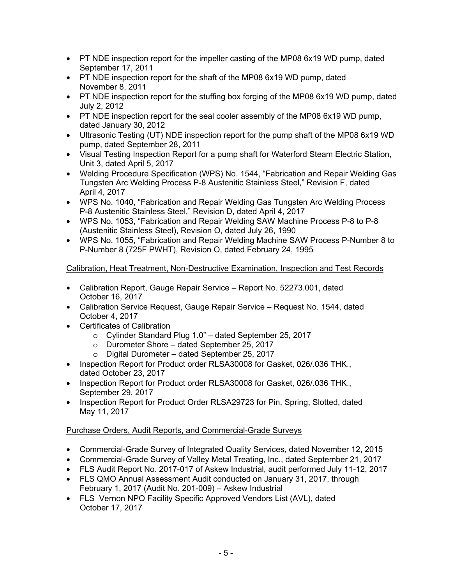- PT NDE inspection report for the impeller casting of the MP08 6x19 WD pump, dated September 17, 2011
- PT NDE inspection report for the shaft of the MP08 6x19 WD pump, dated November 8, 2011
- PT NDE inspection report for the stuffing box forging of the MP08 6x19 WD pump, dated July 2, 2012
- PT NDE inspection report for the seal cooler assembly of the MP08 6x19 WD pump, dated January 30, 2012
- Ultrasonic Testing (UT) NDE inspection report for the pump shaft of the MP08 6x19 WD pump, dated September 28, 2011
- Visual Testing Inspection Report for a pump shaft for Waterford Steam Electric Station, Unit 3, dated April 5, 2017
- Welding Procedure Specification (WPS) No. 1544, "Fabrication and Repair Welding Gas Tungsten Arc Welding Process P-8 Austenitic Stainless Steel," Revision F, dated April 4, 2017
- WPS No. 1040, "Fabrication and Repair Welding Gas Tungsten Arc Welding Process P-8 Austenitic Stainless Steel," Revision D, dated April 4, 2017
- WPS No. 1053, "Fabrication and Repair Welding SAW Machine Process P-8 to P-8 (Austenitic Stainless Steel), Revision O, dated July 26, 1990
- WPS No. 1055, "Fabrication and Repair Welding Machine SAW Process P-Number 8 to P-Number 8 (725F PWHT), Revision O, dated February 24, 1995

# Calibration, Heat Treatment, Non-Destructive Examination, Inspection and Test Records

- Calibration Report, Gauge Repair Service Report No. 52273.001, dated October 16, 2017
- Calibration Service Request, Gauge Repair Service Request No. 1544, dated October 4, 2017
- Certificates of Calibration
	- o Cylinder Standard Plug 1.0" dated September 25, 2017
	- o Durometer Shore dated September 25, 2017
	- o Digital Durometer dated September 25, 2017
- Inspection Report for Product order RLSA30008 for Gasket, 026/.036 THK., dated October 23, 2017
- Inspection Report for Product order RLSA30008 for Gasket, 026/.036 THK., September 29, 2017
- Inspection Report for Product Order RLSA29723 for Pin, Spring, Slotted, dated May 11, 2017

# Purchase Orders, Audit Reports, and Commercial-Grade Surveys

- Commercial-Grade Survey of Integrated Quality Services, dated November 12, 2015
- Commercial-Grade Survey of Valley Metal Treating, Inc., dated September 21, 2017
- FLS Audit Report No. 2017-017 of Askew Industrial, audit performed July 11-12, 2017
- FLS QMO Annual Assessment Audit conducted on January 31, 2017, through February 1, 2017 (Audit No. 201-009) – Askew Industrial
- FLS Vernon NPO Facility Specific Approved Vendors List (AVL), dated October 17, 2017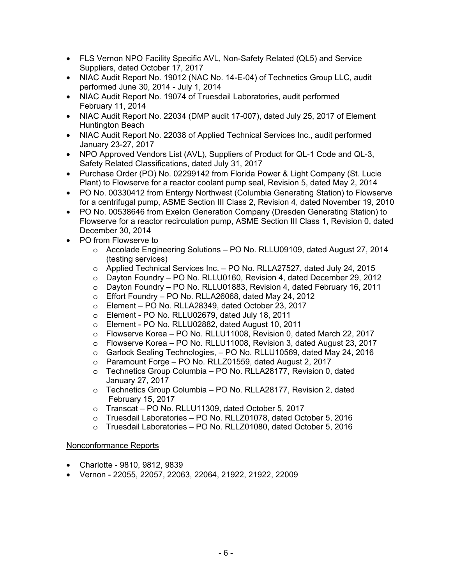- FLS Vernon NPO Facility Specific AVL, Non-Safety Related (QL5) and Service Suppliers, dated October 17, 2017
- NIAC Audit Report No. 19012 (NAC No. 14-E-04) of Technetics Group LLC, audit performed June 30, 2014 - July 1, 2014
- NIAC Audit Report No. 19074 of Truesdail Laboratories, audit performed February 11, 2014
- NIAC Audit Report No. 22034 (DMP audit 17-007), dated July 25, 2017 of Element Huntington Beach
- NIAC Audit Report No. 22038 of Applied Technical Services Inc., audit performed January 23-27, 2017
- NPO Approved Vendors List (AVL), Suppliers of Product for QL-1 Code and QL-3, Safety Related Classifications, dated July 31, 2017
- Purchase Order (PO) No. 02299142 from Florida Power & Light Company (St. Lucie Plant) to Flowserve for a reactor coolant pump seal, Revision 5, dated May 2, 2014
- PO No. 00330412 from Entergy Northwest (Columbia Generating Station) to Flowserve for a centrifugal pump, ASME Section III Class 2, Revision 4, dated November 19, 2010
- PO No. 00538646 from Exelon Generation Company (Dresden Generating Station) to Flowserve for a reactor recirculation pump, ASME Section III Class 1, Revision 0, dated December 30, 2014
- PO from Flowserve to
	- o Accolade Engineering Solutions PO No. RLLU09109, dated August 27, 2014 (testing services)
	- o Applied Technical Services Inc. PO No. RLLA27527, dated July 24, 2015
	- o Dayton Foundry PO No. RLLU0160, Revision 4, dated December 29, 2012
	- $\circ$  Dayton Foundry PO No. RLLU01883, Revision 4, dated February 16, 2011
	- $\circ$  Effort Foundry PO No. RLLA26068, dated May 24, 2012
	- o Element PO No. RLLA28349, dated October 23, 2017
	- o Element PO No. RLLU02679, dated July 18, 2011
	- o Element PO No. RLLU02882, dated August 10, 2011
	- o Flowserve Korea PO No. RLLU11008, Revision 0, dated March 22, 2017
	- o Flowserve Korea PO No. RLLU11008, Revision 3, dated August 23, 2017
	- o Garlock Sealing Technologies, PO No. RLLU10569, dated May 24, 2016
	- o Paramount Forge PO No. RLLZ01559, dated August 2, 2017
	- o Technetics Group Columbia PO No. RLLA28177, Revision 0, dated January 27, 2017
	- o Technetics Group Columbia PO No. RLLA28177, Revision 2, dated February 15, 2017
	- o Transcat PO No. RLLU11309, dated October 5, 2017
	- o Truesdail Laboratories PO No. RLLZ01078, dated October 5, 2016
	- o Truesdail Laboratories PO No. RLLZ01080, dated October 5, 2016

# Nonconformance Reports

- Charlotte 9810, 9812, 9839
- Vernon 22055, 22057, 22063, 22064, 21922, 21922, 22009